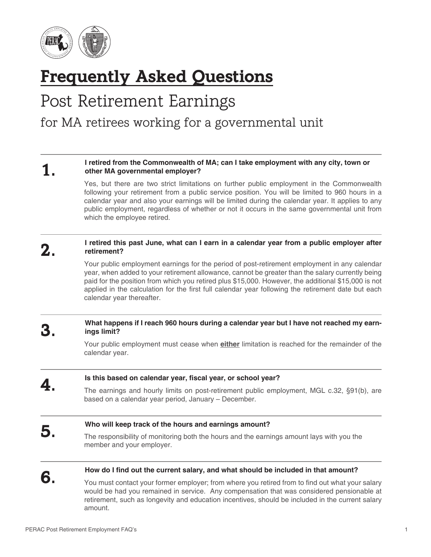

# **Frequently Asked Questions**

## Post Retirement Earnings

## for MA retirees working for a governmental unit

#### **1.** I retired from the Commonwealth of MA; can I take employment with any city, town or <br> **1.** other MA governmental employer? **other MA governmental employer?**

Yes, but there are two strict limitations on further public employment in the Commonwealth following your retirement from a public service position. You will be limited to 960 hours in a calendar year and also your earnings will be limited during the calendar year. It applies to any public employment, regardless of whether or not it occurs in the same governmental unit from which the employee retired.

#### **2.** I retired this past June, what can I earn in a calendar year from a public employer after retirement? **retirement?**

Your public employment earnings for the period of post-retirement employment in any calendar year, when added to your retirement allowance, cannot be greater than the salary currently being paid for the position from which you retired plus \$15,000. However, the additional \$15,000 is not applied in the calculation for the first full calendar year following the retirement date but each calendar year thereafter.

#### **3.** What happens if I reach 960 hours during a calendar year but I have not reached my earn-<br> **3.** Inds limit? **ings limit?**

Your public employment must cease when **either** limitation is reached for the remainder of the calendar year.

# **4.** Is this based on calendar year, fiscal year, or school year?<br>The earnings and hourly limits on post-retirement public employment, MGL c.32, §91(b), are based on a calendar year period, January – December. **5.** Who will keep track of the hours and earnings amount?<br>The responsibility of monitoring both the hours and the earnings amount lays with you the member and your employer. **6.** How do I find out the current salary, and what should be included in that amount?<br>You must contact your former employer; from where you retired from to find out what your salary

would be had you remained in service. Any compensation that was considered pensionable at retirement, such as longevity and education incentives, should be included in the current salary amount.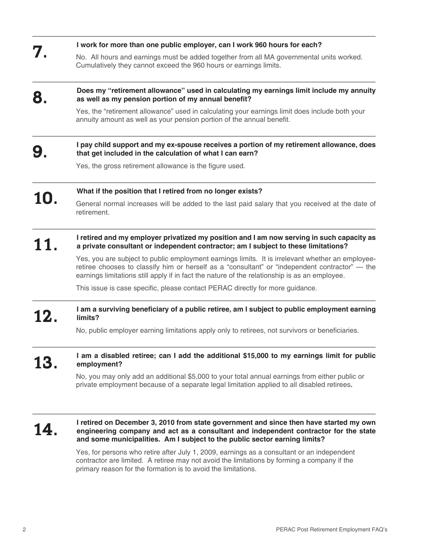| 7.  | I work for more than one public employer, can I work 960 hours for each?                                                                                                                                                                                                                            |
|-----|-----------------------------------------------------------------------------------------------------------------------------------------------------------------------------------------------------------------------------------------------------------------------------------------------------|
|     | No. All hours and earnings must be added together from all MA governmental units worked.<br>Cumulatively they cannot exceed the 960 hours or earnings limits.                                                                                                                                       |
| 8   | Does my "retirement allowance" used in calculating my earnings limit include my annuity<br>as well as my pension portion of my annual benefit?                                                                                                                                                      |
|     | Yes, the "retirement allowance" used in calculating your earnings limit does include both your<br>annuity amount as well as your pension portion of the annual benefit.                                                                                                                             |
| 9.  | I pay child support and my ex-spouse receives a portion of my retirement allowance, does<br>that get included in the calculation of what I can earn?                                                                                                                                                |
|     | Yes, the gross retirement allowance is the figure used.                                                                                                                                                                                                                                             |
| 10. | What if the position that I retired from no longer exists?                                                                                                                                                                                                                                          |
|     | General normal increases will be added to the last paid salary that you received at the date of<br>retirement.                                                                                                                                                                                      |
| 11  | I retired and my employer privatized my position and I am now serving in such capacity as<br>a private consultant or independent contractor; am I subject to these limitations?                                                                                                                     |
|     | Yes, you are subject to public employment earnings limits. It is irrelevant whether an employee-<br>retiree chooses to classify him or herself as a "consultant" or "independent contractor" - the<br>earnings limitations still apply if in fact the nature of the relationship is as an employee. |
|     | This issue is case specific, please contact PERAC directly for more guidance.                                                                                                                                                                                                                       |
| 12. | I am a surviving beneficiary of a public retiree, am I subject to public employment earning<br>limits?                                                                                                                                                                                              |
|     | No, public employer earning limitations apply only to retirees, not survivors or beneficiaries.                                                                                                                                                                                                     |
| 13. | I am a disabled retiree; can I add the additional \$15,000 to my earnings limit for public<br>employment?                                                                                                                                                                                           |
|     | No, you may only add an additional \$5,000 to your total annual earnings from either public or<br>private employment because of a separate legal limitation applied to all disabled retirees.                                                                                                       |
| L4. | I retired on December 3, 2010 from state government and since then have started my own<br>engineering company and act as a consultant and independent contractor for the state<br>. Oatland walkaal u dagaa addan adda dhaalahaa lagu aa dhilaaban                                                  |

Yes, for persons who retire after July 1, 2009, earnings as a consultant or an independent contractor are limited. A retiree may not avoid the limitations by forming a company if the primary reason for the formation is to avoid the limitations.

**and some municipalities. Am I subject to the public sector earning limits?**